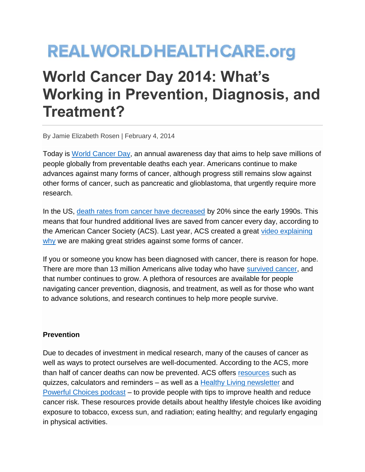# **REALWORLDHEALTHCARE.org**

# **World Cancer Day 2014: What's Working in Prevention, Diagnosis, and Treatment?**

By Jamie Elizabeth Rosen | February 4, 2014

Today is [World Cancer Day,](http://www.worldcancerday.org/) an annual awareness day that aims to help save millions of people globally from preventable deaths each year. Americans continue to make advances against many forms of cancer, although progress still remains slow against other forms of cancer, such as pancreatic and glioblastoma, that urgently require more research.

In the US, [death rates from cancer have decreased](http://www.cancer.org/cancer/news/cancer-statistics-report-deaths-down-20-percent-in-2-decades) by 20% since the early 1990s. This means that four hundred additional lives are saved from cancer every day, according to the American Cancer Society (ACS). Last year, ACS created a great [video explaining](http://www.youtube.com/watch?v=884FArp_F4s)  [why](http://www.youtube.com/watch?v=884FArp_F4s) we are making great strides against some forms of cancer.

If you or someone you know has been diagnosed with cancer, there is reason for hope. There are more than 13 million Americans alive today who have [survived cancer,](http://www.cancer.org/cancer/news/new-report-tracks-growing-population-of-cancer-survivors-in-the-us) and that number continues to grow. A plethora of resources are available for people navigating cancer prevention, diagnosis, and treatment, as well as for those who want to advance solutions, and research continues to help more people survive.

### **Prevention**

Due to decades of investment in medical research, many of the causes of cancer as well as ways to protect ourselves are well-documented. According to the ACS, more than half of cancer deaths can now be prevented. ACS offers [resources](http://www.cancer.org/Healthy/index) such as quizzes, calculators and reminders – as well as a [Healthy Living newsletter](http://www.cancer.org/healthy/morewaysacshelpsyoustaywell/app/healthy-living-newsletter.aspx) and [Powerful Choices podcast](http://www.cancer.org/healthy/eathealthygetactive/powerfulchoicespodcasts/index.htm) – to provide people with tips to improve health and reduce cancer risk. These resources provide details about healthy lifestyle choices like avoiding exposure to tobacco, excess sun, and radiation; eating healthy; and regularly engaging in physical activities.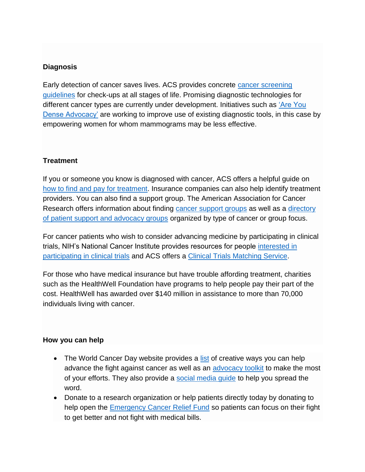# **Diagnosis**

Early detection of cancer saves lives. ACS provides concrete [cancer screening](http://www.cancer.org/healthy/findcancerearly/cancerscreeningguidelines/american-cancer-society-guidelines-for-the-early-detection-of-cancer)  [guidelines](http://www.cancer.org/healthy/findcancerearly/cancerscreeningguidelines/american-cancer-society-guidelines-for-the-early-detection-of-cancer) for check-ups at all stages of life. Promising diagnostic technologies for different cancer types are currently under development. Initiatives such as ['Are You](http://areyoudenseadvocacy.org/)  [Dense Advocacy'](http://areyoudenseadvocacy.org/) are working to improve use of existing diagnostic tools, in this case by empowering women for whom mammograms may be less effective.

## **Treatment**

If you or someone you know is diagnosed with cancer, ACS offers a helpful guide on [how to find and pay for treatment.](http://www.cancer.org/treatment/findingandpayingfortreatment/index) Insurance companies can also help identify treatment providers. You can also find a support group. The American Association for Cancer Research offers information about finding [cancer support groups](http://www.aacr.org/home/survivors--advocates/information-about-support-groups,-clinical-trials,-financial-help-and-fundraising/how-to-find-a-support-group.aspx) as well as a [directory](http://www.aacr.org/home/survivors--advocates/cancer-resources-mdash;-organizations,-agencies-and-websites/support-and-advocacy-groups/us-and-canadian-groups-by-focus.aspx)  [of patient support and advocacy groups](http://www.aacr.org/home/survivors--advocates/cancer-resources-mdash;-organizations,-agencies-and-websites/support-and-advocacy-groups/us-and-canadian-groups-by-focus.aspx) organized by type of cancer or group focus.

For cancer patients who wish to consider advancing medicine by participating in clinical trials, NIH's National Cancer Institute provides resources for people [interested in](http://www.cancer.gov/clinicaltrials)  [participating in clinical trials](http://www.cancer.gov/clinicaltrials) and ACS offers a [Clinical Trials Matching Service.](http://www.cancer.org/treatment/treatmentsandsideeffects/clinicaltrials/app/clinical-trials-matching-service)

For those who have medical insurance but have trouble affording treatment, charities such as the HealthWell Foundation have programs to help people pay their part of the cost. HealthWell has awarded over \$140 million in assistance to more than 70,000 individuals living with cancer.

### **How you can help**

- The World Cancer Day website provides a [list](http://www.worldcancerday.org/dosomething) of creative ways you can help advance the fight against cancer as well as an [advocacy toolkit](http://www.worldcancerday.org/advocacy-toolkit) to make the most of your efforts. They also provide a [social media guide](http://www.worldcancerday.org/sites/wcd/files/atoms/files/WCD2014_SocialMedia_Guide_131212.pdf) to help you spread the word.
- Donate to a research organization or help patients directly today by donating to help open the [Emergency Cancer Relief Fund](http://www.healthwellfoundation.org/emergency-cancer-relief-fund) so patients can focus on their fight to get better and not fight with medical bills.